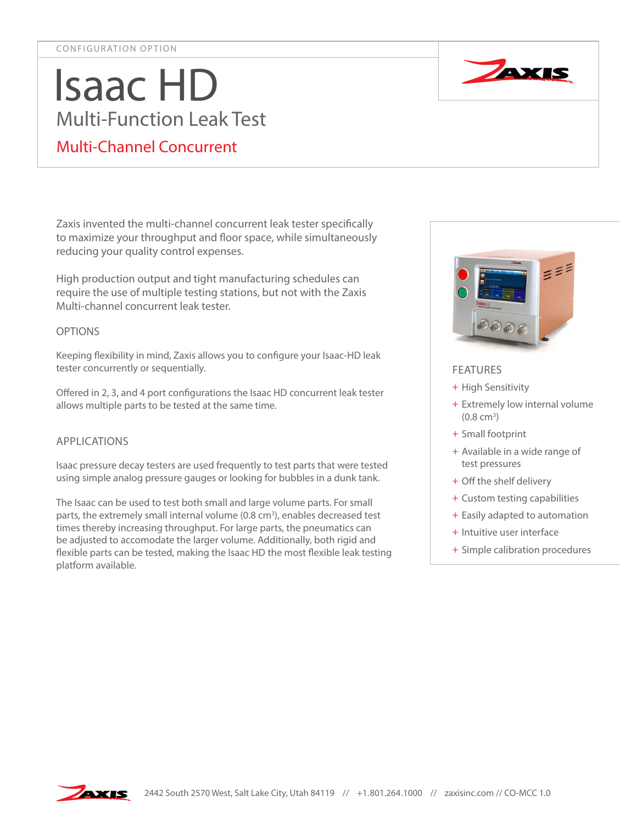# Isaac HD Multi-Function Leak Test Multi-Channel Concurrent

Zaxis invented the multi-channel concurrent leak tester specifically to maximize your throughput and floor space, while simultaneously reducing your quality control expenses.

High production output and tight manufacturing schedules can require the use of multiple testing stations, but not with the Zaxis Multi-channel concurrent leak tester.

### OPTIONS

Keeping flexibility in mind, Zaxis allows you to configure your Isaac-HD leak tester concurrently or sequentially.

Offered in 2, 3, and 4 port configurations the Isaac HD concurrent leak tester allows multiple parts to be tested at the same time.

### APPLICATIONS

Isaac pressure decay testers are used frequently to test parts that were tested using simple analog pressure gauges or looking for bubbles in a dunk tank.

The Isaac can be used to test both small and large volume parts. For small parts, the extremely small internal volume (0.8 cm<sup>3</sup>), enables decreased test times thereby increasing throughput. For large parts, the pneumatics can be adjusted to accomodate the larger volume. Additionally, both rigid and flexible parts can be tested, making the Isaac HD the most flexible leak testing platform available.



### FEATURES

- + High Sensitivity
- + Extremely low internal volume  $(0.8 \text{ cm}^3)$
- + Small footprint
- + Available in a wide range of test pressures
- + Off the shelf delivery
- + Custom testing capabilities
- + Easily adapted to automation
- + Intuitive user interface
- + Simple calibration procedures